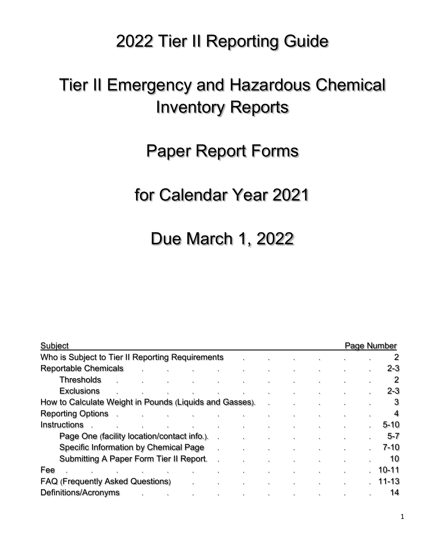# 2022 Tier II Reporting Guide

# Tier II Emergency and Hazardous Chemical Inventory Reports

# Paper Report Forms

# for Calendar Year 2021

# Due March 1, 2022

| Subject                                                 |                |                      |              |  |                |                         |    |    |    |                      | Page Number |          |
|---------------------------------------------------------|----------------|----------------------|--------------|--|----------------|-------------------------|----|----|----|----------------------|-------------|----------|
| Who is Subject to Tier II Reporting Requirements        |                |                      |              |  |                |                         |    |    |    |                      |             | 2        |
| <b>Reportable Chemicals</b>                             |                | $\ddot{\phantom{a}}$ |              |  | $\mathbf{r}_i$ | ٠.                      | ٠  |    | ٠. |                      | ٠.          | $2 - 3$  |
| <b>Thresholds</b>                                       |                | $\ddot{\phantom{a}}$ | $\sim$       |  | ۰.             | ٠.                      | ٠  |    |    | $\bullet$            | $\bullet$   | 2        |
| <b>Exclusions</b>                                       |                |                      |              |  |                |                         |    |    |    |                      |             | $2 - 3$  |
| How to Calculate Weight in Pounds (Liquids and Gasses). |                |                      |              |  |                |                         |    |    |    | $\ddot{\phantom{a}}$ | ٠.          | 3        |
| <b>Reporting Options</b>                                |                |                      | $\mathbf{v}$ |  |                |                         |    | ٠. |    | ٠.                   | ٠           | 4        |
| Instructions                                            |                |                      |              |  |                |                         |    |    |    |                      |             | $5 - 10$ |
| Page One (facility location/contact info.).             |                |                      |              |  |                |                         |    |    |    |                      |             | $5 - 7$  |
| Specific Information by Chemical Page                   |                |                      |              |  |                |                         |    |    | ٠. | ٠.                   | ×.          | $7 - 10$ |
| Submitting A Paper Form Tier II Report.                 |                |                      |              |  |                |                         |    |    | ×. |                      |             | 10       |
| Fee                                                     | $\mathbf{e}_i$ |                      |              |  |                |                         |    |    |    |                      |             | 10-11    |
| <b>FAQ (Frequently Asked Questions)</b>                 |                |                      |              |  | $\bullet$      | ٠.                      | ٠  | ٠. | ٠. | $\ddot{\phantom{a}}$ |             | 11-13    |
| Definitions/Acronyms                                    |                |                      | $\bullet$    |  | ۰.             | $\mathbf{r}_\mathrm{f}$ | ٠. |    |    |                      |             | 14       |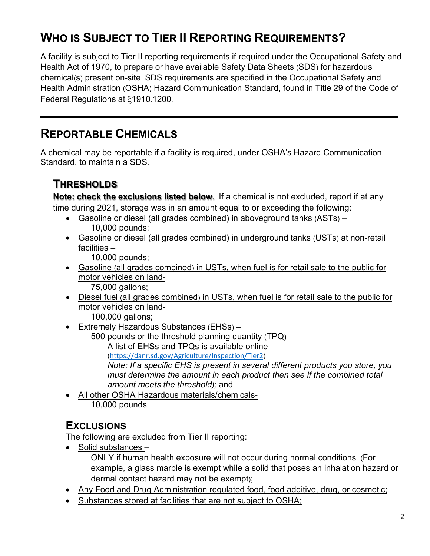# **WHO IS SUBJECT TO TIER II REPORTING REQUIREMENTS?**

A facility is subject to Tier II reporting requirements if required under the Occupational Safety and Health Act of 1970, to prepare or have available Safety Data Sheets (SDS) for hazardous chemical(s) present on-site. SDS requirements are specified in the Occupational Safety and Health Administration (OSHA) Hazard Communication Standard, found in Title 29 of the Code of Federal Regulations at ξ1910.1200.

## **REPORTABLE CHEMICALS**

A chemical may be reportable if a facility is required, under OSHA's Hazard Communication Standard, to maintain a SDS.

### **THRESHOLDS**

**Note: check the exclusions listed below.** If a chemical is not excluded, report if at any time during 2021, storage was in an amount equal to or exceeding the following:

- Gasoline or diesel (all grades combined) in aboveground tanks (ASTs) 10,000 pounds;
- Gasoline or diesel (all grades combined) in underground tanks (USTs) at non-retail facilities –

10,000 pounds;

• Gasoline (all grades combined) in USTs, when fuel is for retail sale to the public for motor vehicles on land-

75,000 gallons;

• Diesel fuel (all grades combined) in USTs, when fuel is for retail sale to the public for motor vehicles on land-

100,000 gallons;

• Extremely Hazardous Substances (EHSs) –

500 pounds or the threshold planning quantity (TPQ) A list of EHSs and TPQs is available online

(<https://danr.sd.gov/Agriculture/Inspection/Tier2>)

 *Note: If a specific EHS is present in several different products you store, you must determine the amount in each product then see if the combined total amount meets the threshold);* and

• All other OSHA Hazardous materials/chemicals-10,000 pounds.

## **EXCLUSIONS**

The following are excluded from Tier II reporting:

• Solid substances –

ONLY if human health exposure will not occur during normal conditions. (For example, a glass marble is exempt while a solid that poses an inhalation hazard or dermal contact hazard may not be exempt);

- Any Food and Drug Administration regulated food, food additive, drug, or cosmetic;
- Substances stored at facilities that are not subject to OSHA;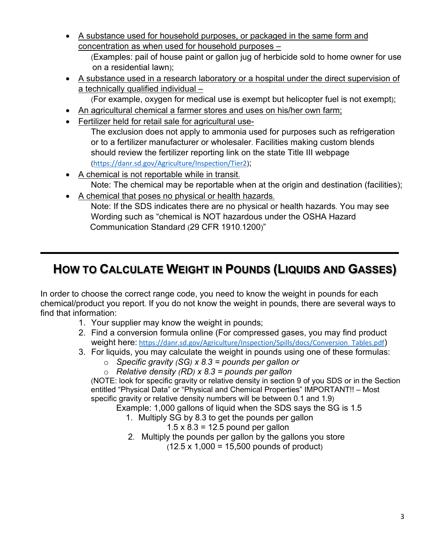• A substance used for household purposes, or packaged in the same form and concentration as when used for household purposes –

(Examples: pail of house paint or gallon jug of herbicide sold to home owner for use on a residential lawn);

• A substance used in a research laboratory or a hospital under the direct supervision of a technically qualified individual –

(For example, oxygen for medical use is exempt but helicopter fuel is not exempt);

- An agricultural chemical a farmer stores and uses on his/her own farm;
- Fertilizer held for retail sale for agricultural use-

The exclusion does not apply to ammonia used for purposes such as refrigeration or to a fertilizer manufacturer or wholesaler. Facilities making custom blends should review the fertilizer reporting link on the state Title III webpage (<https://danr.sd.gov/Agriculture/Inspection/Tier2>);

- A chemical is not reportable while in transit. Note: The chemical may be reportable when at the origin and destination (facilities);
	- A chemical that poses no physical or health hazards. Note: If the SDS indicates there are no physical or health hazards. You may see Wording such as "chemical is NOT hazardous under the OSHA Hazard Communication Standard (29 CFR 1910.1200)"

# **HOW TO CALCULATE WEIGHT IN POUNDS (LIQUIDS AND GASSES)**

In order to choose the correct range code, you need to know the weight in pounds for each chemical/product you report. If you do not know the weight in pounds, there are several ways to find that information:

- 1. Your supplier may know the weight in pounds;
- 2. Find a conversion formula online (For compressed gases, you may find product weight here: [https://danr.sd.gov/Agriculture/Inspection/Spills/docs/Conversion\\_Tables.pdf](https://danr.sd.gov/Agriculture/Inspection/Spills/docs/Conversion_Tables.pdf))
- 3. For liquids, you may calculate the weight in pounds using one of these formulas:
	- o *Specific gravity (SG) x 8.3 = pounds per gallon or*
	- o *Relative density (RD) x 8.3 = pounds per gallon*

(NOTE: look for specific gravity or relative density in section 9 of you SDS or in the Section entitled "Physical Data" or "Physical and Chemical Properties" IMPORTANT!! – Most specific gravity or relative density numbers will be between 0.1 and 1.9)

Example: 1,000 gallons of liquid when the SDS says the SG is 1.5

- 1. Multiply SG by 8.3 to get the pounds per gallon
	- $1.5 \times 8.3 = 12.5$  pound per gallon
- 2. Multiply the pounds per gallon by the gallons you store

 $(12.5 \times 1,000 = 15,500$  pounds of product)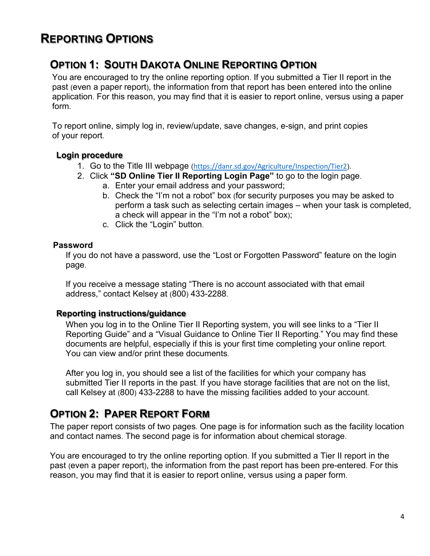## **REPORTING OPTIONS**

## **OPTION 1: SOUTH DAKOTA ONLINE REPORTING OPTION**

 You are encouraged to try the online reporting option. If you submitted a Tier II report in the past (even a paper report), the information from that report has been entered into the online application. For this reason, you may find that it is easier to report online, versus using a paper form.

 To report online, simply log in, review/update, save changes, e-sign, and print copies of your report.

#### **Login procedure**

- 1. Go to the Title III webpage (<https://danr.sd.gov/Agriculture/Inspection/Tier2>).
- 2. Click **"SD Online Tier II Reporting Login Page"** to go to the login page.
	- a. Enter your email address and your password;
	- b. Check the "I'm not a robot" box (for security purposes you may be asked to perform a task such as selecting certain images – when your task is completed, a check will appear in the "I'm not a robot" box);
	- c. Click the "Login" button.

#### **Password**

If you do not have a password, use the "Lost or Forgotten Password" feature on the login page.

If you receive a message stating "There is no account associated with that email address," contact Kelsey at (800) 433-2288.

#### **Reporting instructions/guidance**

When you log in to the Online Tier II Reporting system, you will see links to a "Tier II Reporting Guide" and a "Visual Guidance to Online Tier II Reporting." You may find these documents are helpful, especially if this is your first time completing your online report. You can view and/or print these documents.

After you log in, you should see a list of the facilities for which your company has submitted Tier II reports in the past. If you have storage facilities that are not on the list, call Kelsey at (800) 433-2288 to have the missing facilities added to your account.

## **OPTION 2: PAPER REPORT FORM**

The paper report consists of two pages. One page is for information such as the facility location and contact names. The second page is for information about chemical storage.

You are encouraged to try the online reporting option. If you submitted a Tier II report in the past (even a paper report), the information from the past report has been pre-entered. For this reason, you may find that it is easier to report online, versus using a paper form.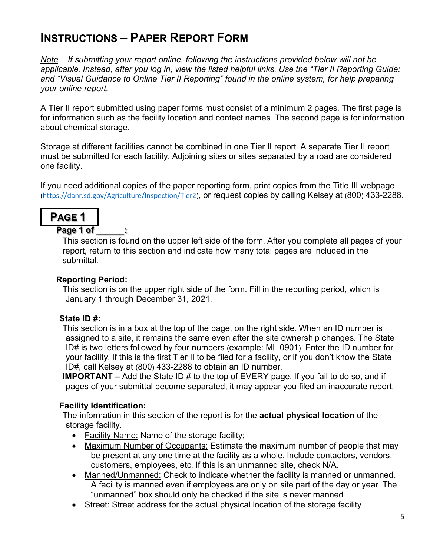## **INSTRUCTIONS – PAPER REPORT FORM**

*Note – If submitting your report online, following the instructions provided below will not be applicable. Instead, after you log in, view the listed helpful links. Use the "Tier II Reporting Guide: and "Visual Guidance to Online Tier II Reporting" found in the online system, for help preparing your online report.*

A Tier II report submitted using paper forms must consist of a minimum 2 pages. The first page is for information such as the facility location and contact names. The second page is for information about chemical storage.

Storage at different facilities cannot be combined in one Tier II report. A separate Tier II report must be submitted for each facility. Adjoining sites or sites separated by a road are considered one facility.

If you need additional copies of the paper reporting form, print copies from the Title III webpage (<https://danr.sd.gov/Agriculture/Inspection/Tier2>), or request copies by calling Kelsey at (800) 433-2288.



Page 1 of

This section is found on the upper left side of the form. After you complete all pages of your report, return to this section and indicate how many total pages are included in the submittal.

#### **Reporting Period:**

This section is on the upper right side of the form. Fill in the reporting period, which is January 1 through December 31, 2021.

#### **State ID #:**

This section is in a box at the top of the page, on the right side. When an ID number is assigned to a site, it remains the same even after the site ownership changes. The State ID# is two letters followed by four numbers (example: ML 0901). Enter the ID number for your facility. If this is the first Tier II to be filed for a facility, or if you don't know the State ID#, call Kelsey at (800) 433-2288 to obtain an ID number.

**IMPORTANT –** Add the State ID # to the top of EVERY page. If you fail to do so, and if pages of your submittal become separated, it may appear you filed an inaccurate report.

#### **Facility Identification:**

The information in this section of the report is for the **actual physical location** of the storage facility.

- Facility Name: Name of the storage facility;
- Maximum Number of Occupants: Estimate the maximum number of people that may be present at any one time at the facility as a whole. Include contactors, vendors, customers, employees, etc. If this is an unmanned site, check N/A.
- Manned/Unmanned: Check to indicate whether the facility is manned or unmanned. A facility is manned even if employees are only on site part of the day or year. The "unmanned" box should only be checked if the site is never manned.
- Street: Street address for the actual physical location of the storage facility.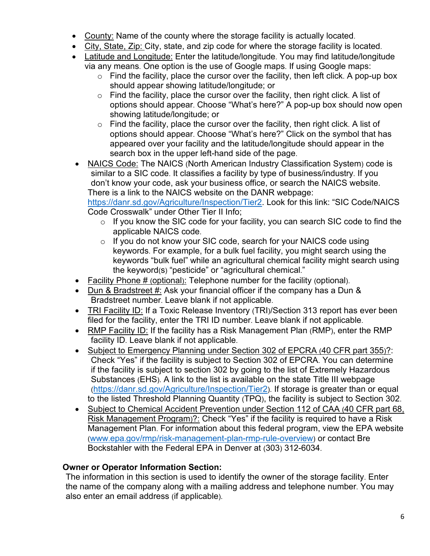- County: Name of the county where the storage facility is actually located.
- City, State, Zip: City, state, and zip code for where the storage facility is located.
- Latitude and Longitude: Enter the latitude/longitude. You may find latitude/longitude via any means. One option is the use of Google maps. If using Google maps:
	- $\circ$  Find the facility, place the cursor over the facility, then left click. A pop-up box should appear showing latitude/longitude; or
	- $\circ$  Find the facility, place the cursor over the facility, then right click. A list of options should appear. Choose "What's here?" A pop-up box should now open showing latitude/longitude; or
	- $\circ$  Find the facility, place the cursor over the facility, then right click. A list of options should appear. Choose "What's here?" Click on the symbol that has appeared over your facility and the latitude/longitude should appear in the search box in the upper left-hand side of the page.
- NAICS Code: The NAICS (North American Industry Classification System) code is similar to a SIC code. It classifies a facility by type of business/industry. If you don't know your code, ask your business office, or search the NAICS website. There is a link to the NAICS website on the DANR webpage:

[https://danr.sd.gov/Agriculture/Inspection/Tier2.](https://danr.sd.gov/Agriculture/Inspection/Tier2) Look for this link: "SIC Code/NAICS Code Crosswalk" under Other Tier II Info;

- $\circ$  If you know the SIC code for your facility, you can search SIC code to find the applicable NAICS code.
- o If you do not know your SIC code, search for your NAICS code using keywords. For example, for a bulk fuel facility, you might search using the keywords "bulk fuel" while an agricultural chemical facility might search using the keyword(s) "pesticide" or "agricultural chemical."
- Facility Phone # (optional): Telephone number for the facility (optional).
- Dun & Bradstreet #: Ask your financial officer if the company has a Dun & Bradstreet number. Leave blank if not applicable.
- TRI Facility ID: If a Toxic Release Inventory (TRI)/Section 313 report has ever been filed for the facility, enter the TRI ID number. Leave blank if not applicable.
- RMP Facility ID: If the facility has a Risk Management Plan (RMP), enter the RMP facility ID. Leave blank if not applicable.
- Subject to Emergency Planning under Section 302 of EPCRA (40 CFR part 355)?: Check "Yes" if the facility is subject to Section 302 of EPCRA. You can determine if the facility is subject to section 302 by going to the list of Extremely Hazardous Substances (EHS). A link to the list is available on the state Title III webpage [\(https://danr.sd.gov/Agriculture/Inspection/Tier2\)](https://danr.sd.gov/Agriculture/Inspection/Tier2). If storage is greater than or equal to the listed Threshold Planning Quantity (TPQ), the facility is subject to Section 302.
- Subject to Chemical Accident Prevention under Section 112 of CAA (40 CFR part 68, Risk Management Program)?: Check "Yes" if the facility is required to have a Risk Management Plan. For information about this federal program, view the EPA website [\(www.epa.gov/rmp/risk-management-plan-rmp-rule-overview\)](http://www.epa.gov/rmp/risk-management-plan-rmp-rule-overview) or contact Bre Bockstahler with the Federal EPA in Denver at (303) 312-6034.

#### **Owner or Operator Information Section:**

The information in this section is used to identify the owner of the storage facility. Enter the name of the company along with a mailing address and telephone number. You may also enter an email address (if applicable).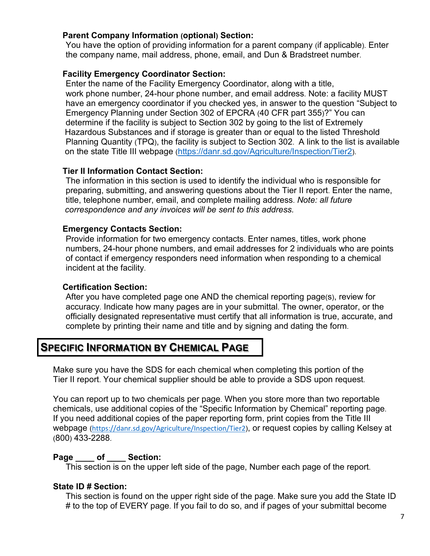#### **Parent Company Information (optional) Section:**

You have the option of providing information for a parent company (if applicable). Enter the company name, mail address, phone, email, and Dun & Bradstreet number.

#### **Facility Emergency Coordinator Section:**

Enter the name of the Facility Emergency Coordinator, along with a title, work phone number, 24-hour phone number, and email address. Note: a facility MUST have an emergency coordinator if you checked yes, in answer to the question "Subject to Emergency Planning under Section 302 of EPCRA (40 CFR part 355)?" You can determine if the facility is subject to Section 302 by going to the list of Extremely Hazardous Substances and if storage is greater than or equal to the listed Threshold Planning Quantity (TPQ), the facility is subject to Section 302. A link to the list is available on the state Title III webpage [\(https://danr.sd.gov/Agriculture/Inspection/Tier2\)](https://danr.sd.gov/Agriculture/Inspection/Tier2).

#### **Tier II Information Contact Section:**

The information in this section is used to identify the individual who is responsible for preparing, submitting, and answering questions about the Tier II report. Enter the name, title, telephone number, email, and complete mailing address. *Note: all future correspondence and any invoices will be sent to this address.*

#### **Emergency Contacts Section:**

Provide information for two emergency contacts. Enter names, titles, work phone numbers, 24-hour phone numbers, and email addresses for 2 individuals who are points of contact if emergency responders need information when responding to a chemical incident at the facility.

#### **Certification Section:**

After you have completed page one AND the chemical reporting page(s), review for accuracy. Indicate how many pages are in your submittal. The owner, operator, or the officially designated representative must certify that all information is true, accurate, and complete by printing their name and title and by signing and dating the form.

### **SPECIFIC INFORMATION BY CHEMICAL PAGE**

Make sure you have the SDS for each chemical when completing this portion of the Tier II report. Your chemical supplier should be able to provide a SDS upon request.

You can report up to two chemicals per page. When you store more than two reportable chemicals, use additional copies of the "Specific Information by Chemical" reporting page. If you need additional copies of the paper reporting form, print copies from the Title III webpage (<https://danr.sd.gov/Agriculture/Inspection/Tier2>), or request copies by calling Kelsey at (800) 433-2288.

#### Page of Section:

This section is on the upper left side of the page, Number each page of the report.

#### **State ID # Section:**

This section is found on the upper right side of the page. Make sure you add the State ID # to the top of EVERY page. If you fail to do so, and if pages of your submittal become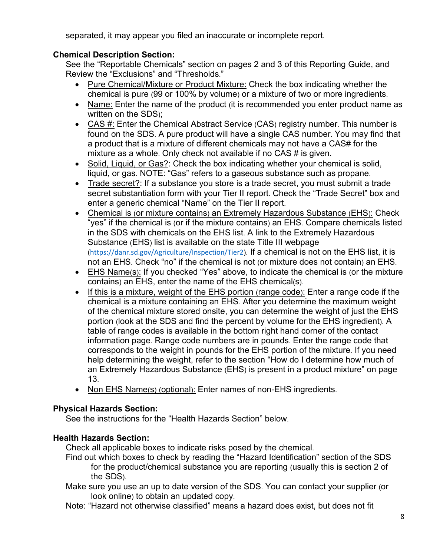separated, it may appear you filed an inaccurate or incomplete report.

#### **Chemical Description Section:**

See the "Reportable Chemicals" section on pages 2 and 3 of this Reporting Guide, and Review the "Exclusions" and "Thresholds."

- Pure Chemical/Mixture or Product Mixture: Check the box indicating whether the chemical is pure (99 or 100% by volume) or a mixture of two or more ingredients.
- Name: Enter the name of the product (it is recommended you enter product name as written on the SDS);
- CAS #: Enter the Chemical Abstract Service (CAS) registry number. This number is found on the SDS. A pure product will have a single CAS number. You may find that a product that is a mixture of different chemicals may not have a CAS# for the mixture as a whole. Only check not available if no CAS # is given.
- Solid, Liquid, or Gas?: Check the box indicating whether your chemical is solid, liquid, or gas. NOTE: "Gas" refers to a gaseous substance such as propane.
- Trade secret?: If a substance you store is a trade secret, you must submit a trade secret substantiation form with your Tier II report. Check the "Trade Secret" box and enter a generic chemical "Name" on the Tier II report.
- Chemical is (or mixture contains) an Extremely Hazardous Substance (EHS): Check "yes" if the chemical is (or if the mixture contains) an EHS. Compare chemicals listed in the SDS with chemicals on the EHS list. A link to the Extremely Hazardous Substance (EHS) list is available on the state Title III webpage (<https://danr.sd.gov/Agriculture/Inspection/Tier2>). If a chemical is not on the EHS list, it is not an EHS. Check "no" if the chemical is not (or mixture does not contain) an EHS.
- EHS Name(s): If you checked "Yes" above, to indicate the chemical is (or the mixture contains) an EHS, enter the name of the EHS chemical(s).
- If this is a mixture, weight of the EHS portion (range code): Enter a range code if the chemical is a mixture containing an EHS. After you determine the maximum weight of the chemical mixture stored onsite, you can determine the weight of just the EHS portion (look at the SDS and find the percent by volume for the EHS ingredient). A table of range codes is available in the bottom right hand corner of the contact information page. Range code numbers are in pounds. Enter the range code that corresponds to the weight in pounds for the EHS portion of the mixture. If you need help determining the weight, refer to the section "How do I determine how much of an Extremely Hazardous Substance (EHS) is present in a product mixture" on page 13.
- Non EHS Name(s) (optional): Enter names of non-EHS ingredients.

#### **Physical Hazards Section:**

See the instructions for the "Health Hazards Section" below.

#### **Health Hazards Section:**

Check all applicable boxes to indicate risks posed by the chemical.

- Find out which boxes to check by reading the "Hazard Identification" section of the SDS for the product/chemical substance you are reporting (usually this is section 2 of the SDS).
- Make sure you use an up to date version of the SDS. You can contact your supplier (or look online) to obtain an updated copy.
- Note: "Hazard not otherwise classified" means a hazard does exist, but does not fit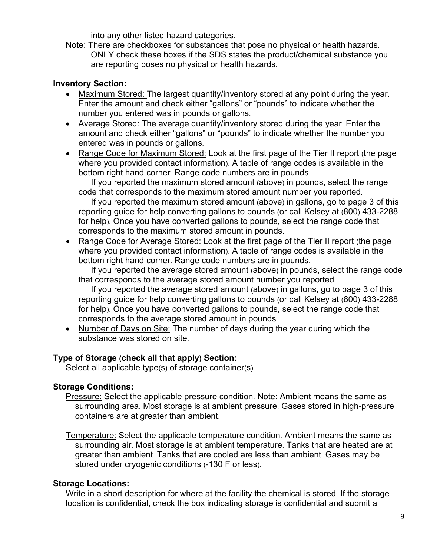into any other listed hazard categories.

Note: There are checkboxes for substances that pose no physical or health hazards. ONLY check these boxes if the SDS states the product/chemical substance you are reporting poses no physical or health hazards.

#### **Inventory Section:**

- Maximum Stored: The largest quantity/inventory stored at any point during the year. Enter the amount and check either "gallons" or "pounds" to indicate whether the number you entered was in pounds or gallons.
- Average Stored: The average quantity/inventory stored during the year. Enter the amount and check either "gallons" or "pounds" to indicate whether the number you entered was in pounds or gallons.
- Range Code for Maximum Stored: Look at the first page of the Tier II report (the page where you provided contact information). A table of range codes is available in the bottom right hand corner. Range code numbers are in pounds.

If you reported the maximum stored amount (above) in pounds, select the range code that corresponds to the maximum stored amount number you reported.

If you reported the maximum stored amount (above) in gallons, go to page 3 of this reporting guide for help converting gallons to pounds (or call Kelsey at (800) 433-2288 for help). Once you have converted gallons to pounds, select the range code that corresponds to the maximum stored amount in pounds.

• Range Code for Average Stored: Look at the first page of the Tier II report (the page where you provided contact information). A table of range codes is available in the bottom right hand corner. Range code numbers are in pounds.

If you reported the average stored amount (above) in pounds, select the range code that corresponds to the average stored amount number you reported.

If you reported the average stored amount (above) in gallons, go to page 3 of this reporting guide for help converting gallons to pounds (or call Kelsey at (800) 433-2288 for help). Once you have converted gallons to pounds, select the range code that corresponds to the average stored amount in pounds.

• Number of Days on Site: The number of days during the year during which the substance was stored on site.

#### **Type of Storage (check all that apply) Section:**

Select all applicable type(s) of storage container(s).

#### **Storage Conditions:**

Pressure: Select the applicable pressure condition. Note: Ambient means the same as surrounding area. Most storage is at ambient pressure. Gases stored in high-pressure containers are at greater than ambient.

Temperature: Select the applicable temperature condition. Ambient means the same as surrounding air. Most storage is at ambient temperature. Tanks that are heated are at greater than ambient. Tanks that are cooled are less than ambient. Gases may be stored under cryogenic conditions (-130 F or less).

#### **Storage Locations:**

Write in a short description for where at the facility the chemical is stored. If the storage location is confidential, check the box indicating storage is confidential and submit a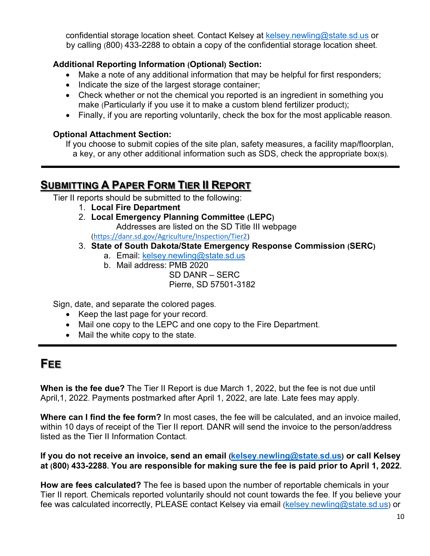confidential storage location sheet. Contact Kelsey at [kelsey.newling@state.sd.us](mailto:Kelsey.Newling@State.SD.US) or by calling (800) 433-2288 to obtain a copy of the confidential storage location sheet.

#### **Additional Reporting Information (Optional) Section:**

- Make a note of any additional information that may be helpful for first responders;
- Indicate the size of the largest storage container;
- Check whether or not the chemical you reported is an ingredient in something you make (Particularly if you use it to make a custom blend fertilizer product);
- Finally, if you are reporting voluntarily, check the box for the most applicable reason.

#### **Optional Attachment Section:**

If you choose to submit copies of the site plan, safety measures, a facility map/floorplan, a key, or any other additional information such as SDS, check the appropriate box(s).

## **SUBMITTING A PAPER FORM TIER II REPORT**

Tier II reports should be submitted to the following:

- 1. **Local Fire Department**
- 2. **Local Emergency Planning Committee (LEPC)** Addresses are listed on the SD Title III webpage

(<https://danr.sd.gov/Agriculture/Inspection/Tier2>)

- 3. **State of South Dakota/State Emergency Response Commission (SERC)**
	- a. Email: [kelsey.newling@state.sd.us](mailto:Kelsey.newling@state.sd.us)
	- b. Mail address: PMB 2020

SD DANR – SERC Pierre, SD 57501-3182

Sign, date, and separate the colored pages.

- Keep the last page for your record.
- Mail one copy to the LEPC and one copy to the Fire Department.
- Mail the white copy to the state.

## **FEE**

**When is the fee due?** The Tier II Report is due March 1, 2022, but the fee is not due until April,1, 2022. Payments postmarked after April 1, 2022, are late. Late fees may apply.

**Where can I find the fee form?** In most cases, the fee will be calculated, and an invoice mailed, within 10 days of receipt of the Tier II report. DANR will send the invoice to the person/address listed as the Tier II Information Contact.

**If you do not receive an invoice, send an email [\(kelsey.newling@state.sd.us\)](mailto:Kelsey.newling@state.sd.us) or call Kelsey at (800) 433-2288. You are responsible for making sure the fee is paid prior to April 1, 2022.**

**How are fees calculated?** The fee is based upon the number of reportable chemicals in your Tier II report. Chemicals reported voluntarily should not count towards the fee. If you believe your fee was calculated incorrectly, PLEASE contact Kelsey via email [\(kelsey.newling@state.sd.us\)](mailto:Kelsey.newling@state.sd.us) or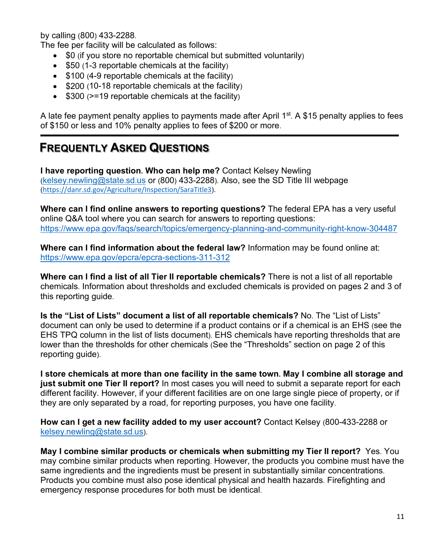by calling (800) 433-2288.

The fee per facility will be calculated as follows:

- \$0 (if you store no reportable chemical but submitted voluntarily)
- \$50 (1-3 reportable chemicals at the facility)
- $$100 (4-9$  reportable chemicals at the facility)
- \$200 (10-18 reportable chemicals at the facility)
- \$300 (>=19 reportable chemicals at the facility)

A late fee payment penalty applies to payments made after April  $1<sup>st</sup>$ . A \$15 penalty applies to fees of \$150 or less and 10% penalty applies to fees of \$200 or more.

## **FREQUENTLY ASKED QUESTIONS**

**I have reporting question. Who can help me?** Contact Kelsey Newling [\(kelsey.newling@state.sd.us](mailto:Kelsey.newling@state.sd.us) or (800) 433-2288). Also, see the SD Title III webpage (<https://danr.sd.gov/Agriculture/Inspection/SaraTitle3>).

**Where can I find online answers to reporting questions?** The federal EPA has a very useful online Q&A tool where you can search for answers to reporting questions: <https://www.epa.gov/faqs/search/topics/emergency-planning-and-community-right-know-304487>

**Where can I find information about the federal law?** Information may be found online at: <https://www.epa.gov/epcra/epcra-sections-311-312>

**Where can I find a list of all Tier II reportable chemicals?** There is not a list of all reportable chemicals. Information about thresholds and excluded chemicals is provided on pages 2 and 3 of this reporting guide.

**Is the "List of Lists" document a list of all reportable chemicals?** No. The "List of Lists" document can only be used to determine if a product contains or if a chemical is an EHS (see the EHS TPQ column in the list of lists document). EHS chemicals have reporting thresholds that are lower than the thresholds for other chemicals (See the "Thresholds" section on page 2 of this reporting guide).

**I store chemicals at more than one facility in the same town. May I combine all storage and just submit one Tier II report?** In most cases you will need to submit a separate report for each different facility. However, if your different facilities are on one large single piece of property, or if they are only separated by a road, for reporting purposes, you have one facility.

**How can I get a new facility added to my user account?** Contact Kelsey (800-433-2288 or [kelsey.newling@state.sd.us\)](mailto:Kelsey.newling@state.sd.us).

**May I combine similar products or chemicals when submitting my Tier II report?** Yes. You may combine similar products when reporting. However, the products you combine must have the same ingredients and the ingredients must be present in substantially similar concentrations. Products you combine must also pose identical physical and health hazards. Firefighting and emergency response procedures for both must be identical.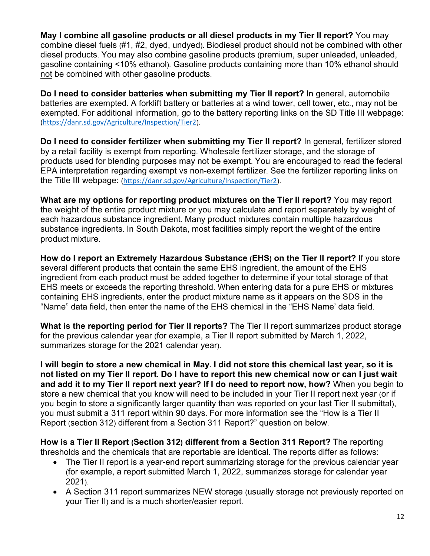**May I combine all gasoline products or all diesel products in my Tier II report?** You may combine diesel fuels (#1, #2, dyed, undyed). Biodiesel product should not be combined with other diesel products. You may also combine gasoline products (premium, super unleaded, unleaded, gasoline containing <10% ethanol). Gasoline products containing more than 10% ethanol should not be combined with other gasoline products.

**Do I need to consider batteries when submitting my Tier II report?** In general, automobile batteries are exempted. A forklift battery or batteries at a wind tower, cell tower, etc., may not be exempted. For additional information, go to the battery reporting links on the SD Title III webpage: (<https://danr.sd.gov/Agriculture/Inspection/Tier2>).

**Do I need to consider fertilizer when submitting my Tier II report?** In general, fertilizer stored by a retail facility is exempt from reporting. Wholesale fertilizer storage, and the storage of products used for blending purposes may not be exempt. You are encouraged to read the federal EPA interpretation regarding exempt vs non-exempt fertilizer. See the fertilizer reporting links on the Title III webpage: (<https://danr.sd.gov/Agriculture/Inspection/Tier2>).

**What are my options for reporting product mixtures on the Tier II report?** You may report the weight of the entire product mixture or you may calculate and report separately by weight of each hazardous substance ingredient. Many product mixtures contain multiple hazardous substance ingredients. In South Dakota, most facilities simply report the weight of the entire product mixture.

**How do I report an Extremely Hazardous Substance (EHS) on the Tier II report?** If you store several different products that contain the same EHS ingredient, the amount of the EHS ingredient from each product must be added together to determine if your total storage of that EHS meets or exceeds the reporting threshold. When entering data for a pure EHS or mixtures containing EHS ingredients, enter the product mixture name as it appears on the SDS in the "Name" data field, then enter the name of the EHS chemical in the "EHS Name' data field.

**What is the reporting period for Tier II reports?** The Tier II report summarizes product storage for the previous calendar year (for example, a Tier II report submitted by March 1, 2022, summarizes storage for the 2021 calendar year).

**I will begin to store a new chemical in May. I did not store this chemical last year, so it is not listed on my Tier II report. Do I have to report this new chemical now or can I just wait and add it to my Tier II report next year? If I do need to report now, how?** When you begin to store a new chemical that you know will need to be included in your Tier II report next year (or if you begin to store a significantly larger quantity than was reported on your last Tier II submittal), you must submit a 311 report within 90 days. For more information see the "How is a Tier II Report (section 312) different from a Section 311 Report?" question on below.

**How is a Tier II Report (Section 312) different from a Section 311 Report?** The reporting thresholds and the chemicals that are reportable are identical. The reports differ as follows:

- The Tier II report is a year-end report summarizing storage for the previous calendar year (for example, a report submitted March 1, 2022, summarizes storage for calendar year 2021).
- A Section 311 report summarizes NEW storage (usually storage not previously reported on your Tier II) and is a much shorter/easier report.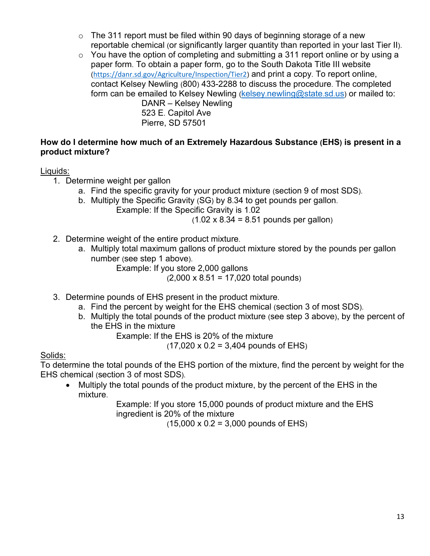- $\circ$  The 311 report must be filed within 90 days of beginning storage of a new reportable chemical (or significantly larger quantity than reported in your last Tier II).
- $\circ$  You have the option of completing and submitting a 311 report online or by using a paper form. To obtain a paper form, go to the South Dakota Title III website (<https://danr.sd.gov/Agriculture/Inspection/Tier2>) and print a copy. To report online, contact Kelsey Newling (800) 433-2288 to discuss the procedure. The completed form can be emailed to Kelsey Newling [\(kelsey.newling@state.sd.us\)](mailto:Kelsey.newling@state.sd.us) or mailed to: DANR – Kelsey Newling

523 E. Capitol Ave Pierre, SD 57501

#### **How do I determine how much of an Extremely Hazardous Substance (EHS) is present in a product mixture?**

#### Liquids:

- 1. Determine weight per gallon
	- a. Find the specific gravity for your product mixture (section 9 of most SDS).
	- b. Multiply the Specific Gravity (SG) by 8.34 to get pounds per gallon.
		- Example: If the Specific Gravity is 1.02  $(1.02 \times 8.34 = 8.51 \text{ pounds per gallon})$
- 2. Determine weight of the entire product mixture.
	- a. Multiply total maximum gallons of product mixture stored by the pounds per gallon number (see step 1 above).
		- Example: If you store 2,000 gallons

(2,000 x 8.51 = 17,020 total pounds)

- 3. Determine pounds of EHS present in the product mixture.
	- a. Find the percent by weight for the EHS chemical (section 3 of most SDS).
	- b. Multiply the total pounds of the product mixture (see step 3 above), by the percent of the EHS in the mixture

Example: If the EHS is 20% of the mixture

 $(17,020 \times 0.2 = 3,404$  pounds of EHS)

#### Solids:

To determine the total pounds of the EHS portion of the mixture, find the percent by weight for the EHS chemical (section 3 of most SDS).

• Multiply the total pounds of the product mixture, by the percent of the EHS in the mixture.

Example: If you store 15,000 pounds of product mixture and the EHS ingredient is 20% of the mixture

 $(15,000 \times 0.2 = 3,000 \text{ pounds of EHS})$